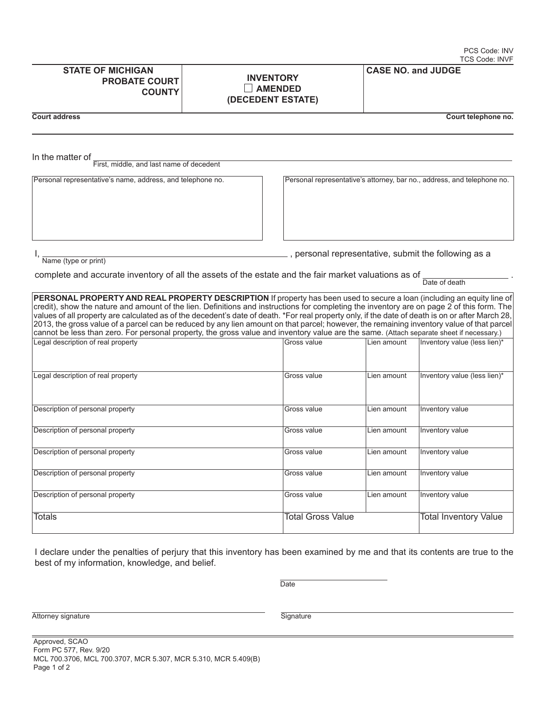| <b>STATE OF MICHIGAN</b><br><b>PROBATE COURTI</b><br><b>COUNTY</b> | <b>INVENTORY</b><br><b>AMENDED</b><br>(DECEDENT ESTATE) | <b>CASE NO. and JUDGE</b> |
|--------------------------------------------------------------------|---------------------------------------------------------|---------------------------|
|--------------------------------------------------------------------|---------------------------------------------------------|---------------------------|

**Court address Court address Court address Court address**  Court **Court and Court Elephone no.** 

In the matter of First, middle, and last name of decedent

Personal representative's name, address, and telephone no. Personal representative's attorney, bar no., address, and telephone no.

I, Name (type or print)

<sub>n</sub>, personal representative, submit the following as a

complete and accurate inventory of all the assets of the estate and the fair market valuations as of  $\frac{1}{\text{Date of death}}$ 

**PERSONAL PROPERTY AND REAL PROPERTY DESCRIPTION** If property has been used to secure a loan (including an equity line of credit), show the nature and amount of the lien. Definitions and instructions for completing the inventory are on page 2 of this form. The values of all property are calculated as of the decedent's date of death. \*For real property only, if the date of death is on or after March 28, 2013, the gross value of a parcel can be reduced by any lien amount on that parcel; however, the remaining inventory value of that parcel cannot be less than zero. For personal property, the gross value and inventory value are the same. (Attach separate sheet if necessary.) Legal description of the real property value (less lien)\*

| Logar accompacts of rear proporty  | ------------             | ------------- |                              |
|------------------------------------|--------------------------|---------------|------------------------------|
| Legal description of real property | Gross value              | Lien amount   | Inventory value (less lien)* |
| Description of personal property   | Gross value              | Lien amount   | Inventory value              |
| Description of personal property   | Gross value              | Lien amount   | Inventory value              |
| Description of personal property   | Gross value              | Lien amount   | Inventory value              |
| Description of personal property   | Gross value              | Lien amount   | Inventory value              |
| Description of personal property   | Gross value              | Lien amount   | Inventory value              |
| <b>Totals</b>                      | <b>Total Gross Value</b> |               | <b>Total Inventory Value</b> |

I declare under the penalties of perjury that this inventory has been examined by me and that its contents are true to the best of my information, knowledge, and belief.

<u>Date</u>

Attorney signature Signature Signature Signature Signature Signature Signature